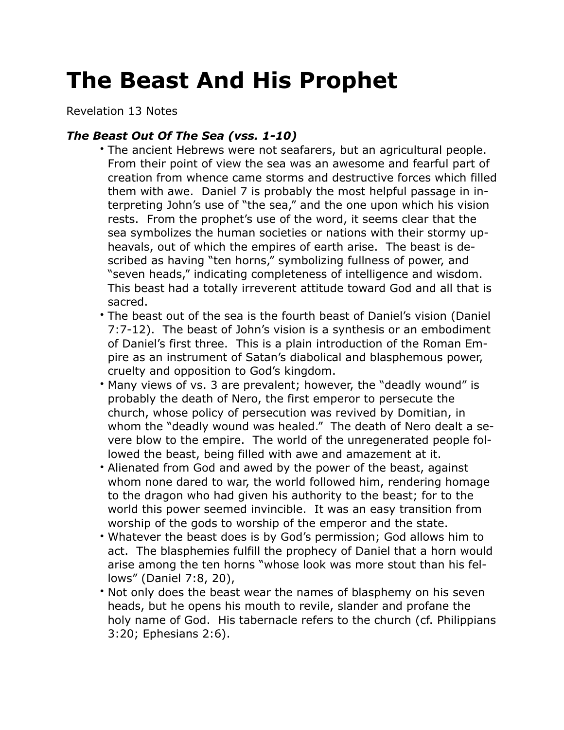## **The Beast And His Prophet**

Revelation 13 Notes

## *The Beast Out Of The Sea (vss. 1-10)*

- The ancient Hebrews were not seafarers, but an agricultural people. From their point of view the sea was an awesome and fearful part of creation from whence came storms and destructive forces which filled them with awe. Daniel 7 is probably the most helpful passage in interpreting John's use of "the sea," and the one upon which his vision rests. From the prophet's use of the word, it seems clear that the sea symbolizes the human societies or nations with their stormy upheavals, out of which the empires of earth arise. The beast is described as having "ten horns," symbolizing fullness of power, and "seven heads," indicating completeness of intelligence and wisdom. This beast had a totally irreverent attitude toward God and all that is sacred.
- The beast out of the sea is the fourth beast of Daniel's vision (Daniel 7:7-12). The beast of John's vision is a synthesis or an embodiment of Daniel's first three. This is a plain introduction of the Roman Empire as an instrument of Satan's diabolical and blasphemous power, cruelty and opposition to God's kingdom.
- Many views of vs. 3 are prevalent; however, the "deadly wound" is probably the death of Nero, the first emperor to persecute the church, whose policy of persecution was revived by Domitian, in whom the "deadly wound was healed." The death of Nero dealt a severe blow to the empire. The world of the unregenerated people followed the beast, being filled with awe and amazement at it.
- Alienated from God and awed by the power of the beast, against whom none dared to war, the world followed him, rendering homage to the dragon who had given his authority to the beast; for to the world this power seemed invincible. It was an easy transition from worship of the gods to worship of the emperor and the state.
- Whatever the beast does is by God's permission; God allows him to act. The blasphemies fulfill the prophecy of Daniel that a horn would arise among the ten horns "whose look was more stout than his fellows" (Daniel 7:8, 20),
- Not only does the beast wear the names of blasphemy on his seven heads, but he opens his mouth to revile, slander and profane the holy name of God. His tabernacle refers to the church (cf. Philippians 3:20; Ephesians 2:6).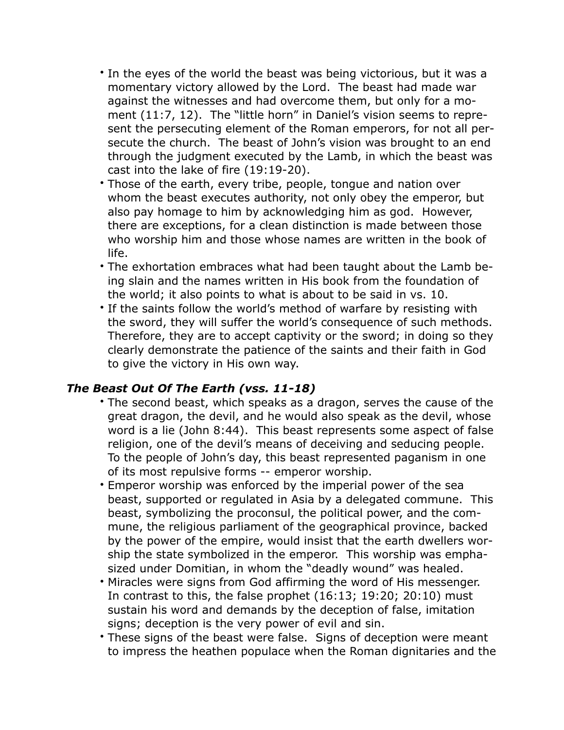- In the eyes of the world the beast was being victorious, but it was a momentary victory allowed by the Lord. The beast had made war against the witnesses and had overcome them, but only for a moment (11:7, 12). The "little horn" in Daniel's vision seems to represent the persecuting element of the Roman emperors, for not all persecute the church. The beast of John's vision was brought to an end through the judgment executed by the Lamb, in which the beast was cast into the lake of fire (19:19-20).
- Those of the earth, every tribe, people, tongue and nation over whom the beast executes authority, not only obey the emperor, but also pay homage to him by acknowledging him as god. However, there are exceptions, for a clean distinction is made between those who worship him and those whose names are written in the book of life.
- The exhortation embraces what had been taught about the Lamb being slain and the names written in His book from the foundation of the world; it also points to what is about to be said in vs. 10.
- If the saints follow the world's method of warfare by resisting with the sword, they will suffer the world's consequence of such methods. Therefore, they are to accept captivity or the sword; in doing so they clearly demonstrate the patience of the saints and their faith in God to give the victory in His own way.

## *The Beast Out Of The Earth (vss. 11-18)*

- The second beast, which speaks as a dragon, serves the cause of the great dragon, the devil, and he would also speak as the devil, whose word is a lie (John 8:44). This beast represents some aspect of false religion, one of the devil's means of deceiving and seducing people. To the people of John's day, this beast represented paganism in one of its most repulsive forms -- emperor worship.
- Emperor worship was enforced by the imperial power of the sea beast, supported or regulated in Asia by a delegated commune. This beast, symbolizing the proconsul, the political power, and the commune, the religious parliament of the geographical province, backed by the power of the empire, would insist that the earth dwellers worship the state symbolized in the emperor. This worship was emphasized under Domitian, in whom the "deadly wound" was healed.
- Miracles were signs from God affirming the word of His messenger. In contrast to this, the false prophet (16:13; 19:20; 20:10) must sustain his word and demands by the deception of false, imitation signs; deception is the very power of evil and sin.
- These signs of the beast were false. Signs of deception were meant to impress the heathen populace when the Roman dignitaries and the